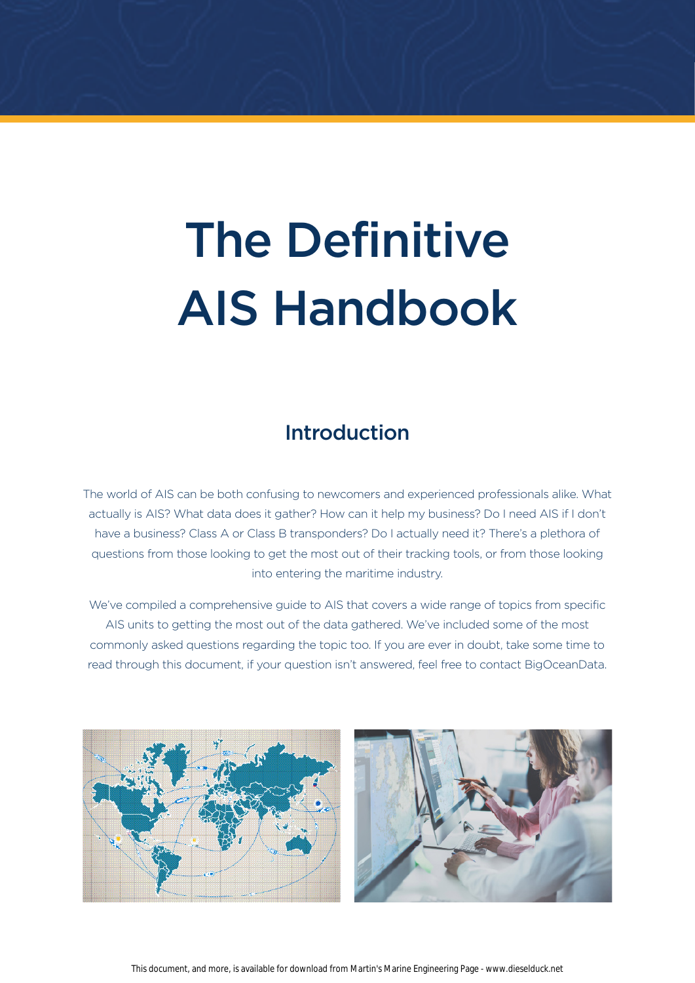# The Definitive AIS Handbook

# Introduction

The world of AIS can be both confusing to newcomers and experienced professionals alike. What actually is AIS? What data does it gather? How can it help my business? Do I need AIS if I don't have a business? Class A or Class B transponders? Do I actually need it? There's a plethora of questions from those looking to get the most out of their tracking tools, or from those looking into entering the maritime industry.

We've compiled a comprehensive guide to AIS that covers a wide range of topics from specific AIS units to getting the most out of the data gathered. We've included some of the most commonly asked questions regarding the topic too. If you are ever in doubt, take some time to read through this document, if your question isn't answered, feel free to contact BigOceanData.

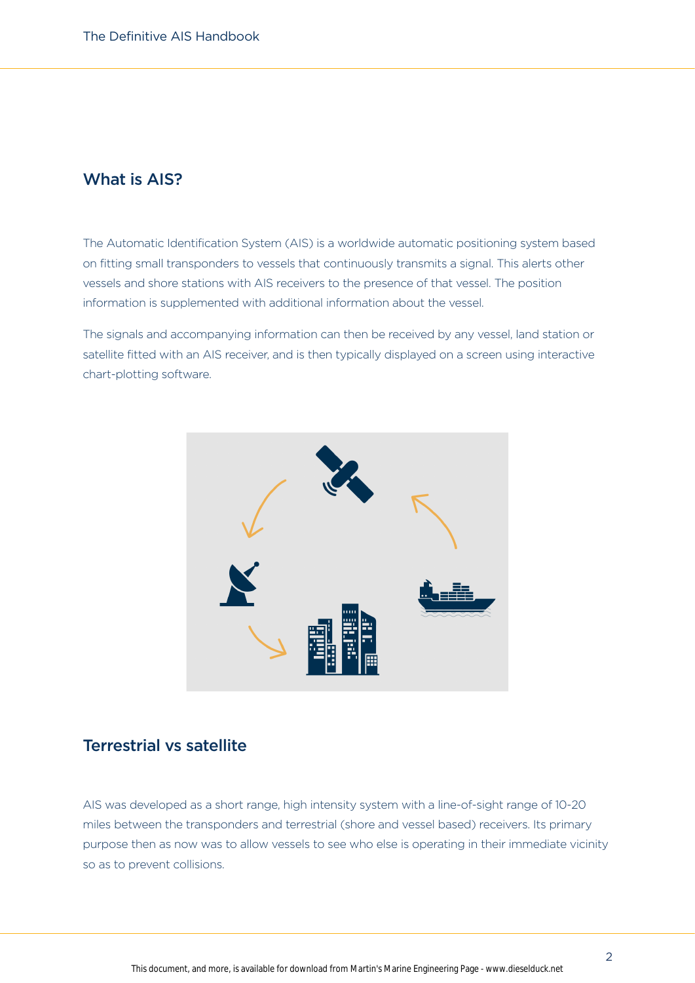## What is AIS?

The Automatic Identification System (AIS) is a worldwide automatic positioning system based on fitting small transponders to vessels that continuously transmits a signal. This alerts other vessels and shore stations with AIS receivers to the presence of that vessel. The position information is supplemented with additional information about the vessel.

The signals and accompanying information can then be received by any vessel, land station or satellite fitted with an AIS receiver, and is then typically displayed on a screen using interactive chart-plotting software.



### Terrestrial vs satellite

AIS was developed as a short range, high intensity system with a line-of-sight range of 10-20 miles between the transponders and terrestrial (shore and vessel based) receivers. Its primary purpose then as now was to allow vessels to see who else is operating in their immediate vicinity so as to prevent collisions.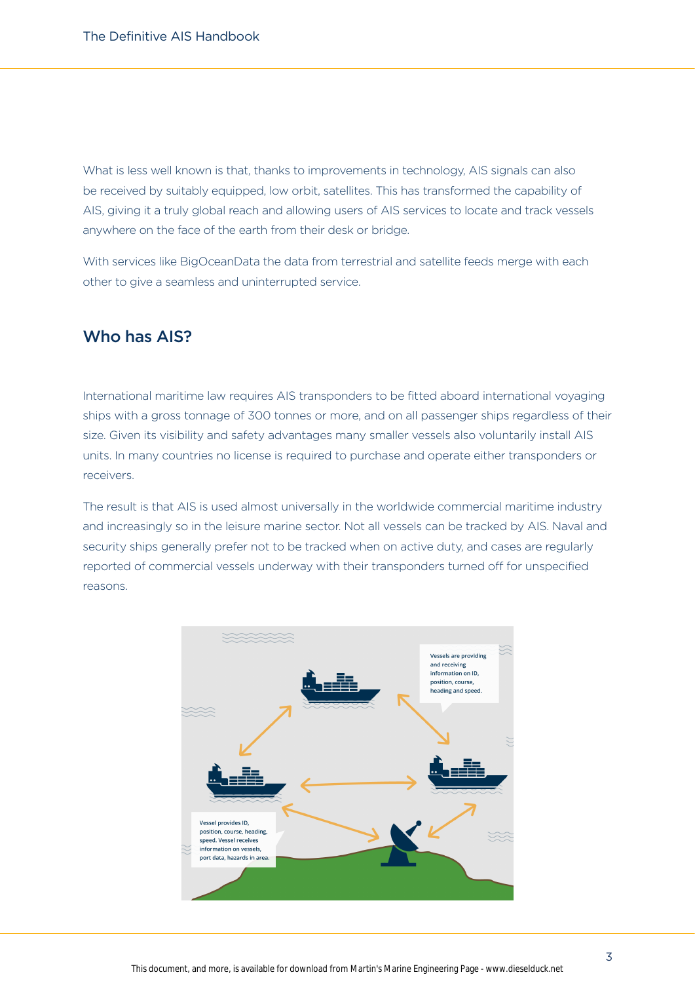What is less well known is that, thanks to improvements in technology, AIS signals can also be received by suitably equipped, low orbit, satellites. This has transformed the capability of AIS, giving it a truly global reach and allowing users of AIS services to locate and track vessels anywhere on the face of the earth from their desk or bridge.

With services like BigOceanData the data from terrestrial and satellite feeds merge with each other to give a seamless and uninterrupted service.

## Who has AIS?

International maritime law requires AIS transponders to be fitted aboard international voyaging ships with a gross tonnage of 300 tonnes or more, and on all passenger ships regardless of their size. Given its visibility and safety advantages many smaller vessels also voluntarily install AIS units. In many countries no license is required to purchase and operate either transponders or receivers.

The result is that AIS is used almost universally in the worldwide commercial maritime industry and increasingly so in the leisure marine sector. Not all vessels can be tracked by AIS. Naval and security ships generally prefer not to be tracked when on active duty, and cases are regularly reported of commercial vessels underway with their transponders turned off for unspecified reasons.

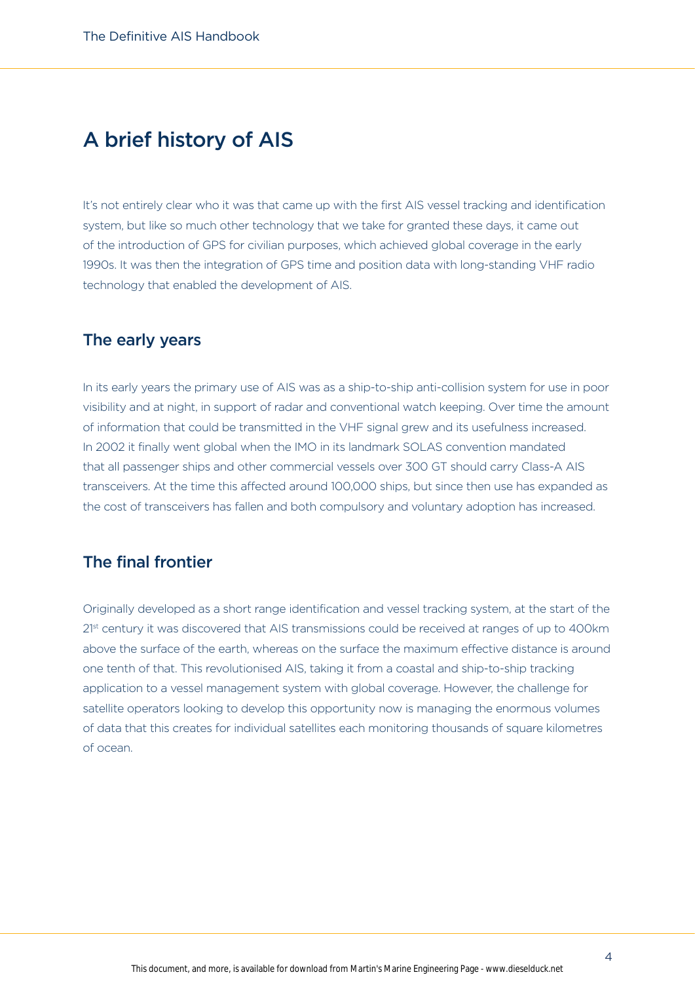# A brief history of AIS

It's not entirely clear who it was that came up with the first AIS vessel tracking and identification system, but like so much other technology that we take for granted these days, it came out of the introduction of GPS for civilian purposes, which achieved global coverage in the early 1990s. It was then the integration of GPS time and position data with long-standing VHF radio technology that enabled the development of AIS.

## The early years

In its early years the primary use of AIS was as a ship-to-ship anti-collision system for use in poor visibility and at night, in support of radar and conventional watch keeping. Over time the amount of information that could be transmitted in the VHF signal grew and its usefulness increased. In 2002 it finally went global when the IMO in its landmark SOLAS convention mandated that all passenger ships and other commercial vessels over 300 GT should carry Class-A AIS transceivers. At the time this affected around 100,000 ships, but since then use has expanded as the cost of transceivers has fallen and both compulsory and voluntary adoption has increased.

# The final frontier

Originally developed as a short range identification and vessel tracking system, at the start of the 2<sup>1st</sup> century it was discovered that AIS transmissions could be received at ranges of up to 400km above the surface of the earth, whereas on the surface the maximum effective distance is around one tenth of that. This revolutionised AIS, taking it from a coastal and ship-to-ship tracking application to a vessel management system with global coverage. However, the challenge for satellite operators looking to develop this opportunity now is managing the enormous volumes of data that this creates for individual satellites each monitoring thousands of square kilometres of ocean.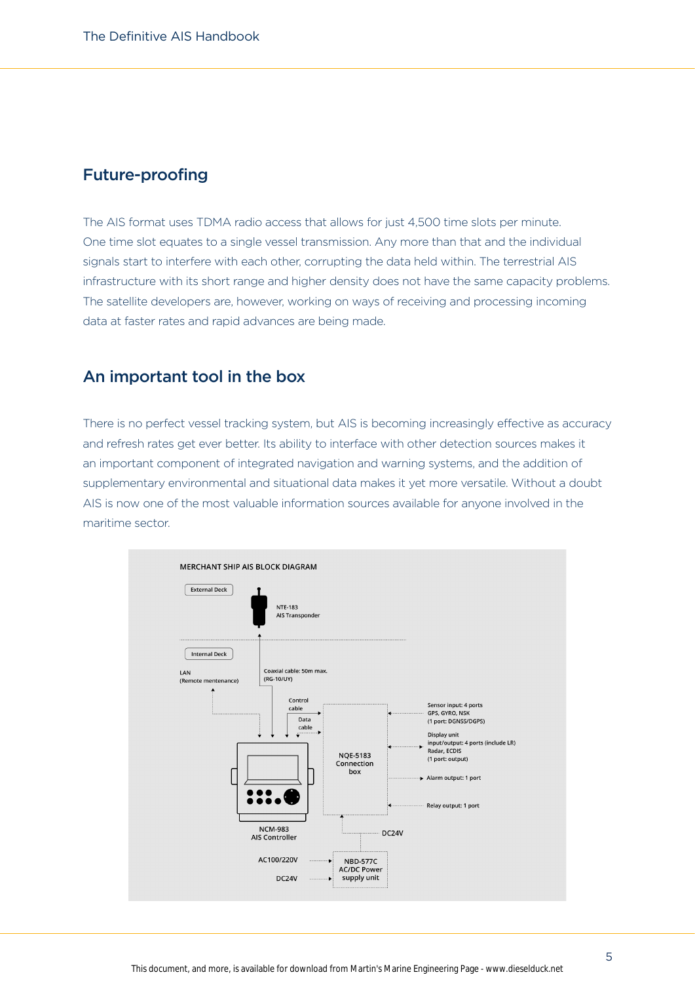#### Future-proofing

The AIS format uses TDMA radio access that allows for just 4,500 time slots per minute. One time slot equates to a single vessel transmission. Any more than that and the individual signals start to interfere with each other, corrupting the data held within. The terrestrial AIS infrastructure with its short range and higher density does not have the same capacity problems. The satellite developers are, however, working on ways of receiving and processing incoming data at faster rates and rapid advances are being made.

## An important tool in the box

There is no perfect vessel tracking system, but AIS is becoming increasingly effective as accuracy and refresh rates get ever better. Its ability to interface with other detection sources makes it an important component of integrated navigation and warning systems, and the addition of supplementary environmental and situational data makes it yet more versatile. Without a doubt AIS is now one of the most valuable information sources available for anyone involved in the maritime sector.

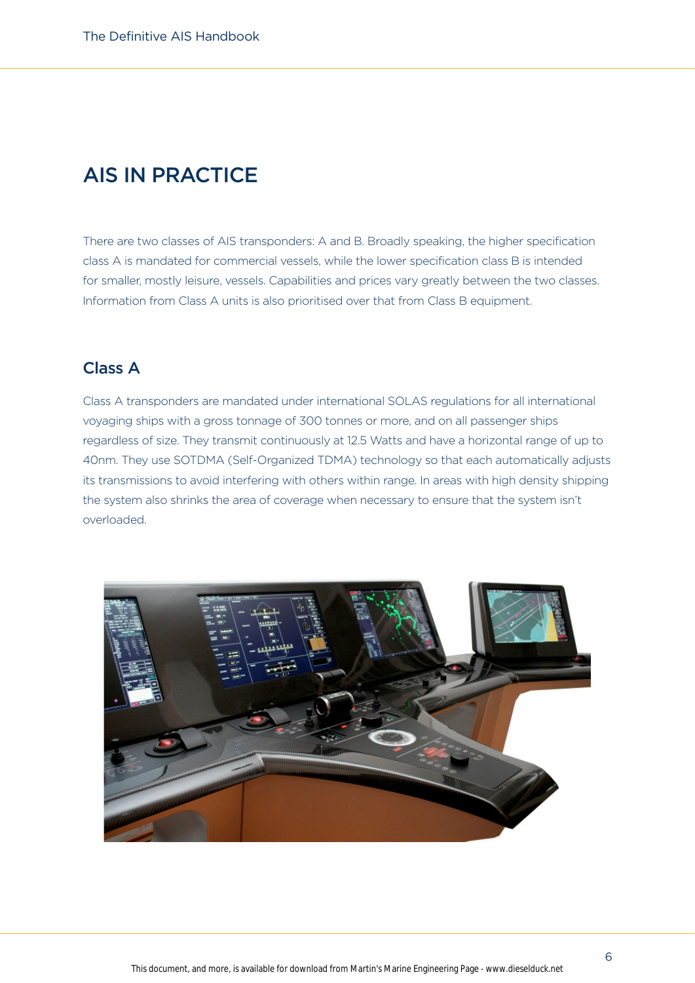# AIS IN PRACTICE

There are two classes of AIS transponders: A and B. Broadly speaking, the higher specification class A is mandated for commercial vessels, while the lower specification class B is intended for smaller, mostly leisure, vessels. Capabilities and prices vary greatly between the two classes. Information from Class A units is also prioritised over that from Class B equipment.

# Class A

Class A transponders are mandated under international SOLAS regulations for all international voyaging ships with a gross tonnage of 300 tonnes or more, and on all passenger ships regardless of size. They transmit continuously at 12.5 Watts and have a horizontal range of up to 40nm. They use SOTDMA (Self-Organized TDMA) technology so that each automatically adjusts its transmissions to avoid interfering with others within range. In areas with high density shipping the system also shrinks the area of coverage when necessary to ensure that the system isn't overloaded.

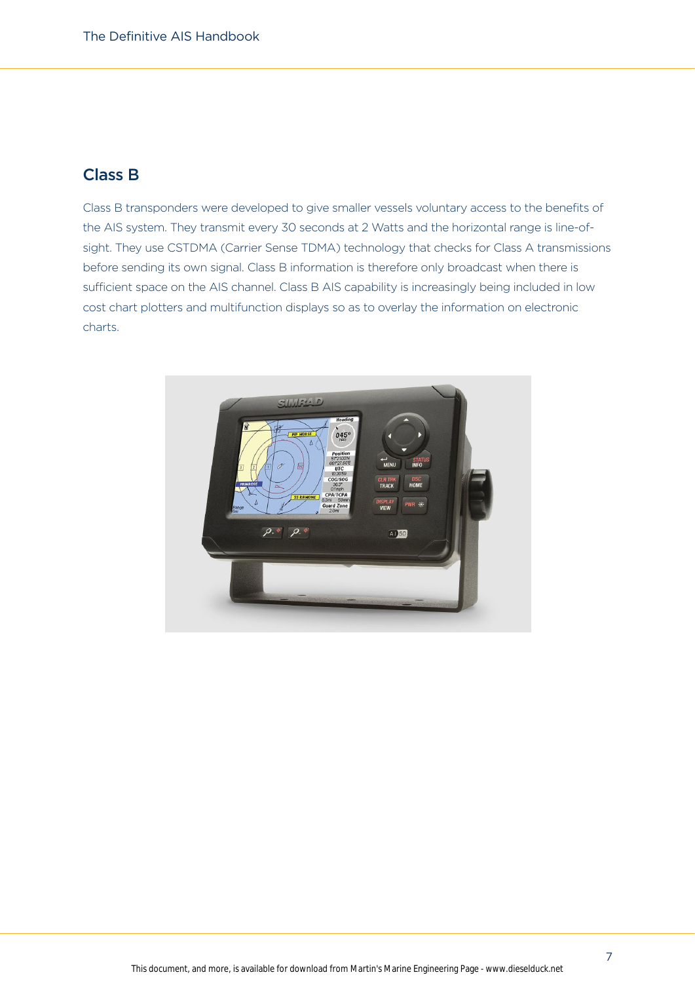# Class B

Class B transponders were developed to give smaller vessels voluntary access to the benefits of the AIS system. They transmit every 30 seconds at 2 Watts and the horizontal range is line-ofsight. They use CSTDMA (Carrier Sense TDMA) technology that checks for Class A transmissions before sending its own signal. Class B information is therefore only broadcast when there is sufficient space on the AIS channel. Class B AIS capability is increasingly being included in low cost chart plotters and multifunction displays so as to overlay the information on electronic charts.

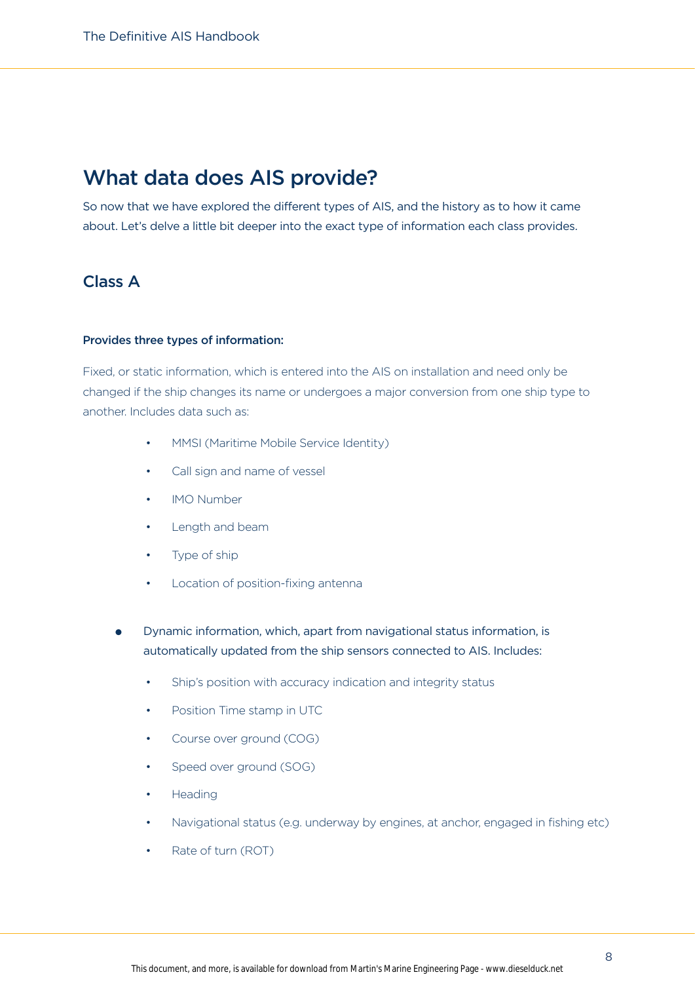# What data does AIS provide?

So now that we have explored the different types of AIS, and the history as to how it came about. Let's delve a little bit deeper into the exact type of information each class provides.

# Class A

#### Provides three types of information:

Fixed, or static information, which is entered into the AIS on installation and need only be changed if the ship changes its name or undergoes a major conversion from one ship type to another. Includes data such as:

- MMSI (Maritime Mobile Service Identity)
- Call sign and name of vessel
- IMO Number
- Length and beam
- Type of ship
- Location of position-fixing antenna
- Dynamic information, which, apart from navigational status information, is automatically updated from the ship sensors connected to AIS. Includes:
	- Ship's position with accuracy indication and integrity status
	- Position Time stamp in UTC
	- Course over ground (COG)
	- Speed over ground (SOG)
	- Heading
	- Navigational status (e.g. underway by engines, at anchor, engaged in fishing etc)
	- Rate of turn (ROT)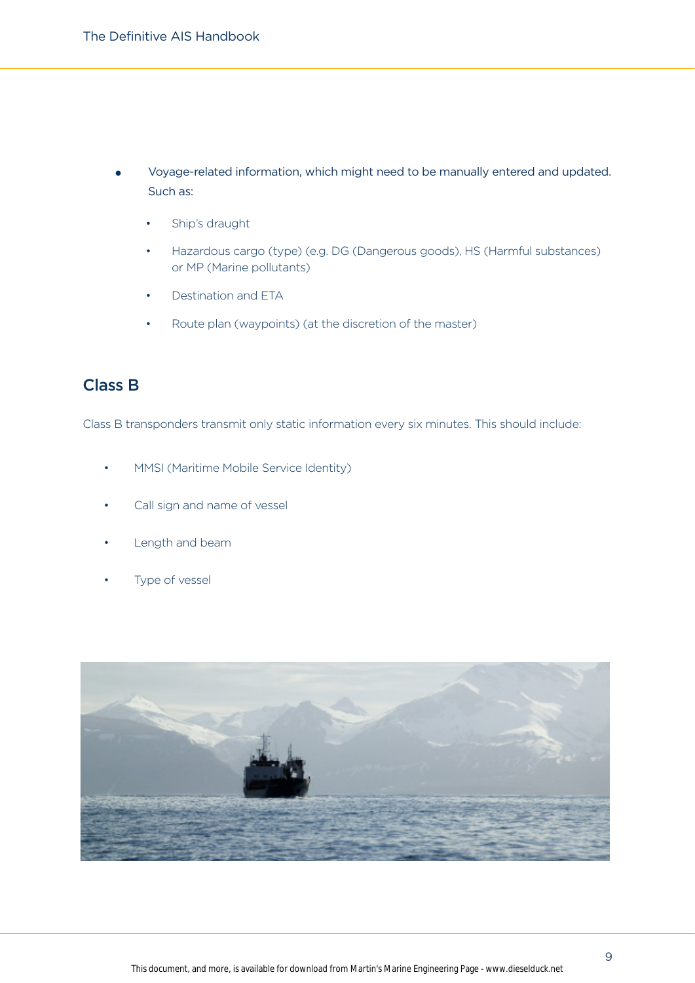- l Voyage-related information, which might need to be manually entered and updated. Such as:
	- Ship's draught
	- Hazardous cargo (type) (e.g. DG (Dangerous goods), HS (Harmful substances) or MP (Marine pollutants)
	- Destination and ETA
	- Route plan (waypoints) (at the discretion of the master)

# Class B

Class B transponders transmit only static information every six minutes. This should include:

- MMSI (Maritime Mobile Service Identity)
- Call sign and name of vessel
- Length and beam
- Type of vessel

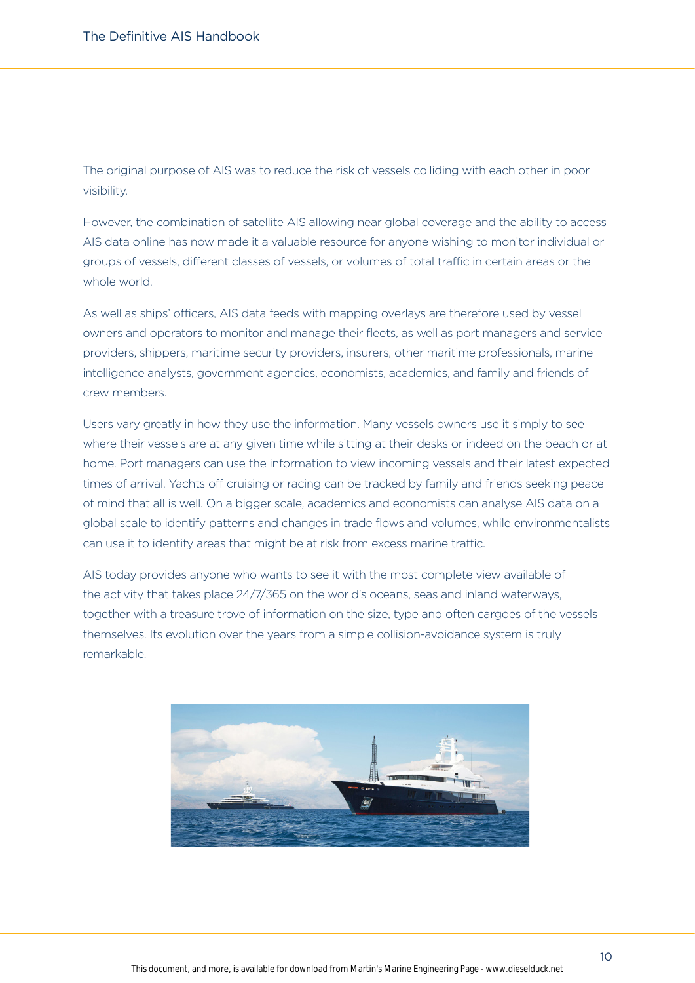The original purpose of AIS was to reduce the risk of vessels colliding with each other in poor visibility.

However, the combination of satellite AIS allowing near global coverage and the ability to access AIS data online has now made it a valuable resource for anyone wishing to monitor individual or groups of vessels, different classes of vessels, or volumes of total traffic in certain areas or the whole world.

As well as ships' officers, AIS data feeds with mapping overlays are therefore used by vessel owners and operators to monitor and manage their fleets, as well as port managers and service providers, shippers, maritime security providers, insurers, other maritime professionals, marine intelligence analysts, government agencies, economists, academics, and family and friends of crew members.

Users vary greatly in how they use the information. Many vessels owners use it simply to see where their vessels are at any given time while sitting at their desks or indeed on the beach or at home. Port managers can use the information to view incoming vessels and their latest expected times of arrival. Yachts off cruising or racing can be tracked by family and friends seeking peace of mind that all is well. On a bigger scale, academics and economists can analyse AIS data on a global scale to identify patterns and changes in trade flows and volumes, while environmentalists can use it to identify areas that might be at risk from excess marine traffic.

AIS today provides anyone who wants to see it with the most complete view available of the activity that takes place 24/7/365 on the world's oceans, seas and inland waterways, together with a treasure trove of information on the size, type and often cargoes of the vessels themselves. Its evolution over the years from a simple collision-avoidance system is truly remarkable.

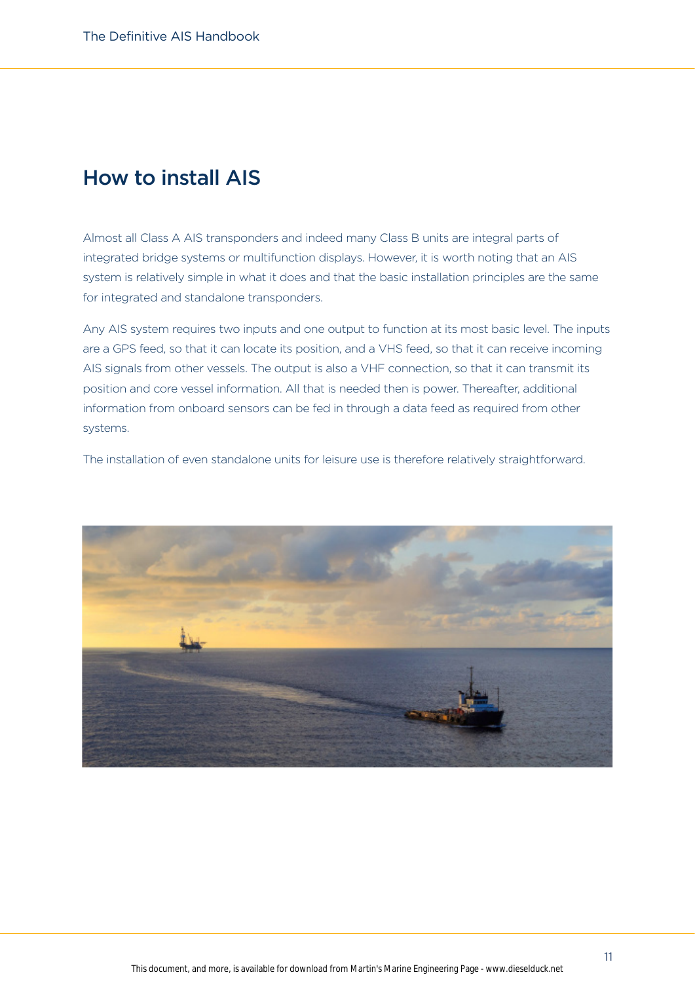# How to install AIS

Almost all Class A AIS transponders and indeed many Class B units are integral parts of integrated bridge systems or multifunction displays. However, it is worth noting that an AIS system is relatively simple in what it does and that the basic installation principles are the same for integrated and standalone transponders.

Any AIS system requires two inputs and one output to function at its most basic level. The inputs are a GPS feed, so that it can locate its position, and a VHS feed, so that it can receive incoming AIS signals from other vessels. The output is also a VHF connection, so that it can transmit its position and core vessel information. All that is needed then is power. Thereafter, additional information from onboard sensors can be fed in through a data feed as required from other systems.

The installation of even standalone units for leisure use is therefore relatively straightforward.

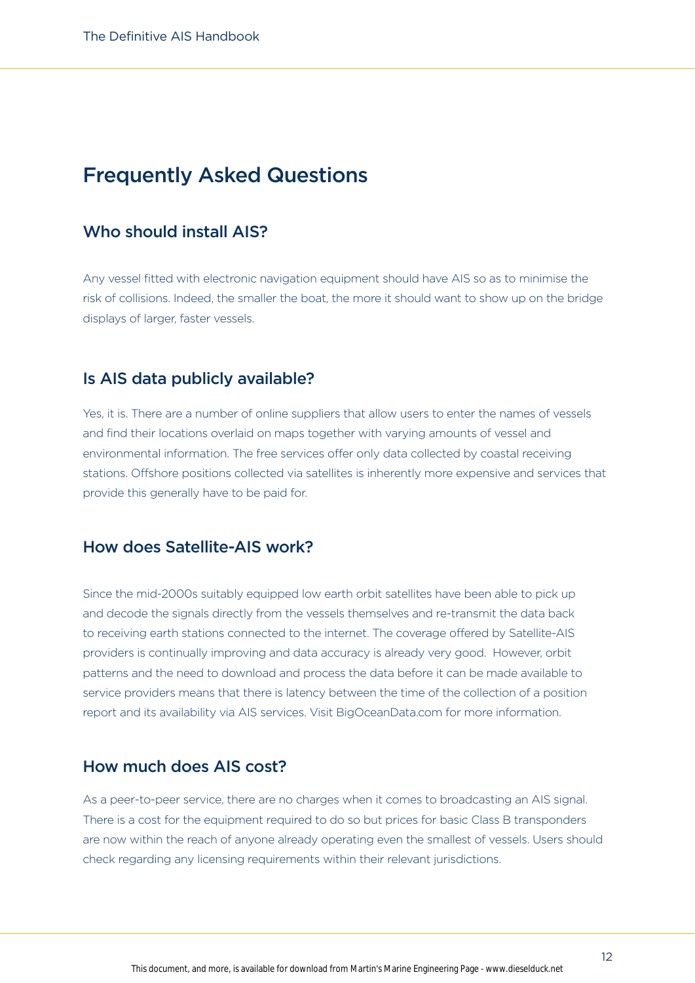# Frequently Asked Questions

## Who should install AIS?

Any vessel fitted with electronic navigation equipment should have AIS so as to minimise the risk of collisions. Indeed, the smaller the boat, the more it should want to show up on the bridge displays of larger, faster vessels.

#### Is AIS data publicly available?

Yes, it is. There are a number of online suppliers that allow users to enter the names of vessels and find their locations overlaid on maps together with varying amounts of vessel and environmental information. The free services offer only data collected by coastal receiving stations. Offshore positions collected via satellites is inherently more expensive and services that provide this generally have to be paid for.

### How does Satellite-AIS work?

Since the mid-2000s suitably equipped low earth orbit satellites have been able to pick up and decode the signals directly from the vessels themselves and re-transmit the data back to receiving earth stations connected to the internet. The coverage offered by Satellite-AIS providers is continually improving and data accuracy is already very good. However, orbit patterns and the need to download and process the data before it can be made available to service providers means that there is latency between the time of the collection of a position report and its availability via AIS services. Visit BigOceanData.com for more information.

#### How much does AIS cost?

As a peer-to-peer service, there are no charges when it comes to broadcasting an AIS signal. There is a cost for the equipment required to do so but prices for basic Class B transponders are now within the reach of anyone already operating even the smallest of vessels. Users should check regarding any licensing requirements within their relevant jurisdictions.